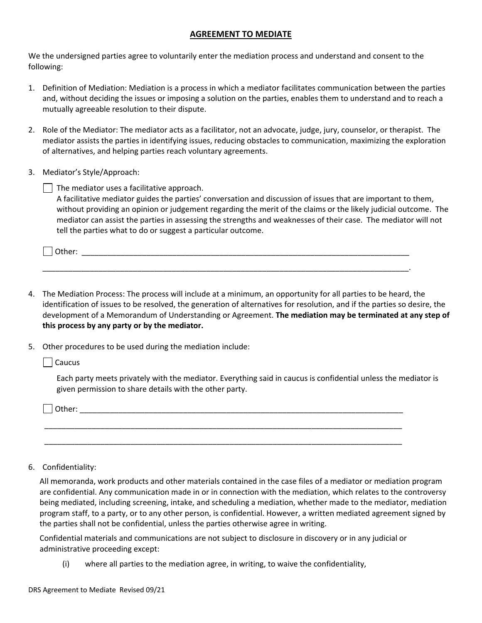## **AGREEMENT TO MEDIATE**

We the undersigned parties agree to voluntarily enter the mediation process and understand and consent to the following:

- 1. Definition of Mediation: Mediation is a process in which a mediator facilitates communication between the parties and, without deciding the issues or imposing a solution on the parties, enables them to understand and to reach a mutually agreeable resolution to their dispute.
- 2. Role of the Mediator: The mediator acts as a facilitator, not an advocate, judge, jury, counselor, or therapist. The mediator assists the parties in identifying issues, reducing obstacles to communication, maximizing the exploration of alternatives, and helping parties reach voluntary agreements.
- 3. Mediator's Style/Approach:

 $\vert \ \vert$  The mediator uses a facilitative approach.

A facilitative mediator guides the parties' conversation and discussion of issues that are important to them, without providing an opinion or judgement regarding the merit of the claims or the likely judicial outcome. The mediator can assist the parties in assessing the strengths and weaknesses of their case. The mediator will not tell the parties what to do or suggest a particular outcome.

| .<br>_ _ _ _ _ _<br>______<br>_________ |
|-----------------------------------------|
|-----------------------------------------|

\_\_\_\_\_\_\_\_\_\_\_\_\_\_\_\_\_\_\_\_\_\_\_\_\_\_\_\_\_\_\_\_\_\_\_\_\_\_\_\_\_\_\_\_\_\_\_\_\_\_\_\_\_\_\_\_\_\_\_\_\_\_\_\_\_\_\_\_\_\_\_\_\_\_\_\_\_\_\_\_\_\_\_\_\_.

- 4. The Mediation Process: The process will include at a minimum, an opportunity for all parties to be heard, the identification of issues to be resolved, the generation of alternatives for resolution, and if the parties so desire, the development of a Memorandum of Understanding or Agreement. **The mediation may be terminated at any step of this process by any party or by the mediator.**
- 5. Other procedures to be used during the mediation include:

**Caucus** 

 Each party meets privately with the mediator. Everything said in caucus is confidential unless the mediator is given permission to share details with the other party.

 $\Box$  Other:

6. Confidentiality:

All memoranda, work products and other materials contained in the case files of a mediator or mediation program are confidential. Any communication made in or in connection with the mediation, which relates to the controversy being mediated, including screening, intake, and scheduling a mediation, whether made to the mediator, mediation program staff, to a party, or to any other person, is confidential. However, a written mediated agreement signed by the parties shall not be confidential, unless the parties otherwise agree in writing.

Confidential materials and communications are not subject to disclosure in discovery or in any judicial or administrative proceeding except:

\_\_\_\_\_\_\_\_\_\_\_\_\_\_\_\_\_\_\_\_\_\_\_\_\_\_\_\_\_\_\_\_\_\_\_\_\_\_\_\_\_\_\_\_\_\_\_\_\_\_\_\_\_\_\_\_\_\_\_\_\_\_\_\_\_\_\_\_\_\_\_\_\_\_\_\_\_\_\_\_\_\_\_

\_\_\_\_\_\_\_\_\_\_\_\_\_\_\_\_\_\_\_\_\_\_\_\_\_\_\_\_\_\_\_\_\_\_\_\_\_\_\_\_\_\_\_\_\_\_\_\_\_\_\_\_\_\_\_\_\_\_\_\_\_\_\_\_\_\_\_\_\_\_\_\_\_\_\_\_\_\_\_\_\_\_\_

(i) where all parties to the mediation agree, in writing, to waive the confidentiality,